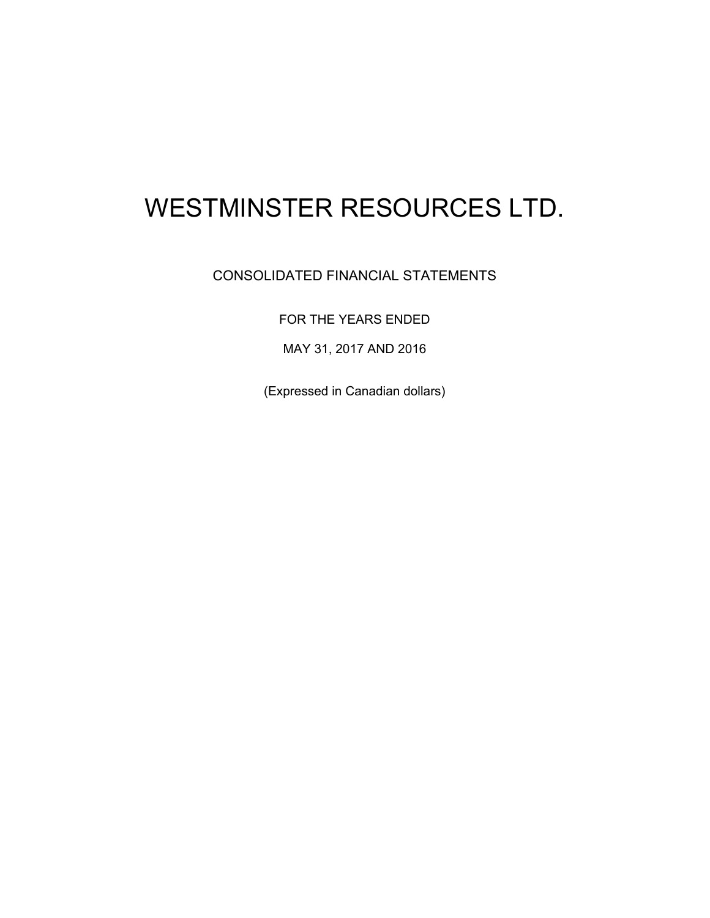# WESTMINSTER RESOURCES LTD.

# CONSOLIDATED FINANCIAL STATEMENTS

FOR THE YEARS ENDED

MAY 31, 2017 AND 2016

(Expressed in Canadian dollars)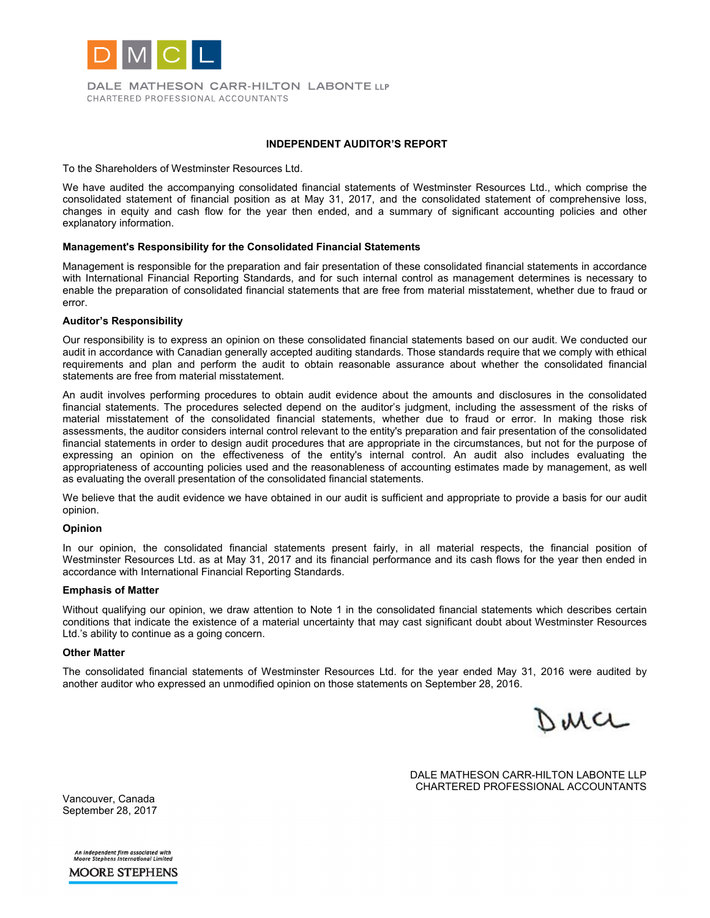

DALE MATHESON CARR-HILTON LABONTE LLP CHARTERED PROFESSIONAL ACCOUNTANTS

#### **INDEPENDENT AUDITOR'S REPORT**

To the Shareholders of Westminster Resources Ltd.

We have audited the accompanying consolidated financial statements of Westminster Resources Ltd., which comprise the consolidated statement of financial position as at May 31, 2017, and the consolidated statement of comprehensive loss, changes in equity and cash flow for the year then ended, and a summary of significant accounting policies and other explanatory information.

#### **Management's Responsibility for the Consolidated Financial Statements**

Management is responsible for the preparation and fair presentation of these consolidated financial statements in accordance with International Financial Reporting Standards, and for such internal control as management determines is necessary to enable the preparation of consolidated financial statements that are free from material misstatement, whether due to fraud or error.

#### **Auditor's Responsibility**

Our responsibility is to express an opinion on these consolidated financial statements based on our audit. We conducted our audit in accordance with Canadian generally accepted auditing standards. Those standards require that we comply with ethical requirements and plan and perform the audit to obtain reasonable assurance about whether the consolidated financial statements are free from material misstatement.

An audit involves performing procedures to obtain audit evidence about the amounts and disclosures in the consolidated financial statements. The procedures selected depend on the auditor's judgment, including the assessment of the risks of material misstatement of the consolidated financial statements, whether due to fraud or error. In making those risk assessments, the auditor considers internal control relevant to the entity's preparation and fair presentation of the consolidated financial statements in order to design audit procedures that are appropriate in the circumstances, but not for the purpose of expressing an opinion on the effectiveness of the entity's internal control. An audit also includes evaluating the appropriateness of accounting policies used and the reasonableness of accounting estimates made by management, as well as evaluating the overall presentation of the consolidated financial statements.

We believe that the audit evidence we have obtained in our audit is sufficient and appropriate to provide a basis for our audit opinion.

#### **Opinion**

In our opinion, the consolidated financial statements present fairly, in all material respects, the financial position of Westminster Resources Ltd. as at May 31, 2017 and its financial performance and its cash flows for the year then ended in accordance with International Financial Reporting Standards.

#### **Emphasis of Matter**

Without qualifying our opinion, we draw attention to Note 1 in the consolidated financial statements which describes certain conditions that indicate the existence of a material uncertainty that may cast significant doubt about Westminster Resources Ltd.'s ability to continue as a going concern.

#### **Other Matter**

The consolidated financial statements of Westminster Resources Ltd. for the year ended May 31, 2016 were audited by another auditor who expressed an unmodified opinion on those statements on September 28, 2016.

Derce

DALE MATHESON CARR-HILTON LABONTE LLP CHARTERED PROFESSIONAL ACCOUNTANTS

Vancouver, Canada September 28, 2017

An independent firm associated with<br>Moore Stephens International Limited **MOORE STEPHENS**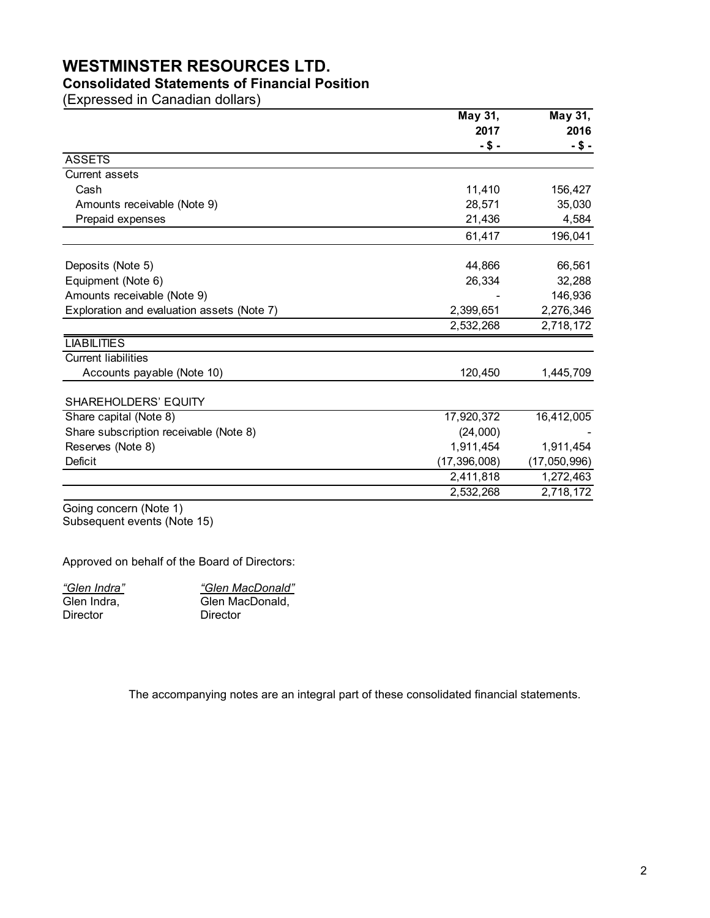# **WESTMINSTER RESOURCES LTD.**

# **Consolidated Statements of Financial Position**

(Expressed in Canadian dollars)

|                                            | May 31,        | May 31,      |  |
|--------------------------------------------|----------------|--------------|--|
|                                            | 2017           | 2016         |  |
|                                            | -\$-           | -\$-         |  |
| <b>ASSETS</b>                              |                |              |  |
| Current assets                             |                |              |  |
| Cash                                       | 11,410         | 156,427      |  |
| Amounts receivable (Note 9)                | 28,571         | 35,030       |  |
| Prepaid expenses                           | 21,436         | 4,584        |  |
|                                            | 61,417         | 196,041      |  |
| Deposits (Note 5)                          | 44,866         | 66,561       |  |
| Equipment (Note 6)                         | 26,334         | 32,288       |  |
| Amounts receivable (Note 9)                |                | 146,936      |  |
| Exploration and evaluation assets (Note 7) | 2,399,651      | 2,276,346    |  |
|                                            | 2,532,268      | 2,718,172    |  |
| <b>LIABILITIES</b>                         |                |              |  |
| <b>Current liabilities</b>                 |                |              |  |
| Accounts payable (Note 10)                 | 120,450        | 1,445,709    |  |
| <b>SHAREHOLDERS' EQUITY</b>                |                |              |  |
| Share capital (Note 8)                     | 17,920,372     | 16,412,005   |  |
| Share subscription receivable (Note 8)     | (24,000)       |              |  |
| Reserves (Note 8)                          | 1,911,454      | 1,911,454    |  |
| <b>Deficit</b>                             | (17, 396, 008) | (17,050,996) |  |
|                                            | 2,411,818      | 1,272,463    |  |
|                                            | 2,532,268      | 2,718,172    |  |

Going concern (Note 1) Subsequent events (Note 15)

Approved on behalf of the Board of Directors:

*"Glen Indra"* Glen Indra, Director

*"Glen MacDonald"* Glen MacDonald, Director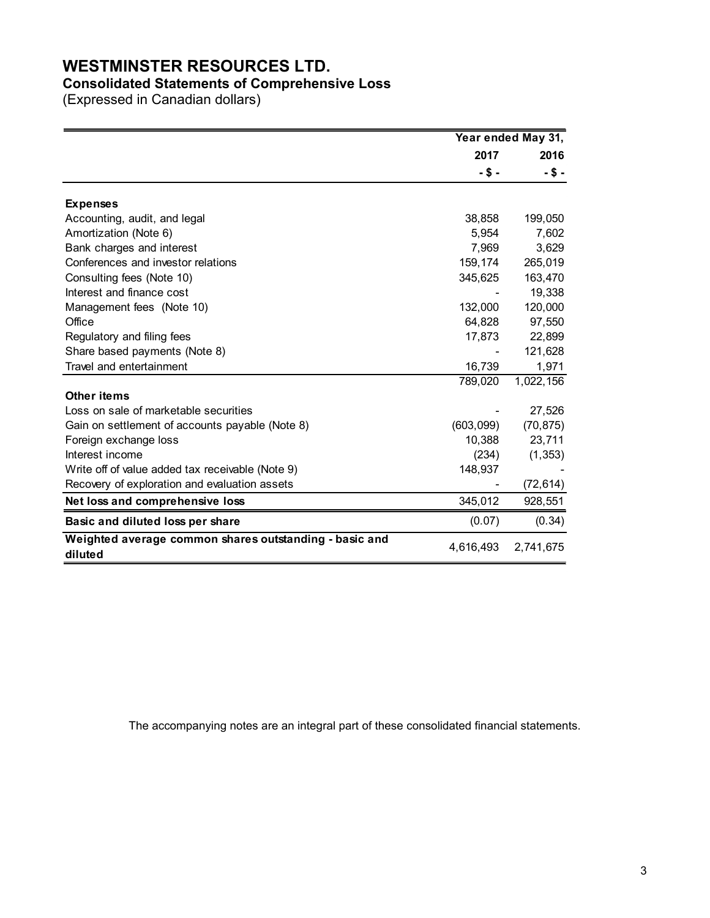# **WESTMINSTER RESOURCES LTD.**

# **Consolidated Statements of Comprehensive Loss**

(Expressed in Canadian dollars)

|                                                                   | Year ended May 31, |            |  |
|-------------------------------------------------------------------|--------------------|------------|--|
|                                                                   | 2017               | 2016       |  |
|                                                                   | -\$-               | $-$ \$ $-$ |  |
| <b>Expenses</b>                                                   |                    |            |  |
| Accounting, audit, and legal                                      | 38,858             | 199,050    |  |
| Amortization (Note 6)                                             | 5,954              | 7,602      |  |
| Bank charges and interest                                         | 7,969              | 3,629      |  |
| Conferences and investor relations                                | 159,174            | 265,019    |  |
| Consulting fees (Note 10)                                         | 345,625            | 163,470    |  |
| Interest and finance cost                                         |                    | 19,338     |  |
| Management fees (Note 10)                                         | 132,000            | 120,000    |  |
| Office                                                            | 64,828             | 97,550     |  |
| Regulatory and filing fees                                        | 17,873             | 22,899     |  |
| Share based payments (Note 8)                                     |                    | 121,628    |  |
| Travel and entertainment                                          | 16,739             | 1,971      |  |
|                                                                   | 789,020            | 1,022,156  |  |
| <b>Other items</b>                                                |                    |            |  |
| Loss on sale of marketable securities                             |                    | 27,526     |  |
| Gain on settlement of accounts payable (Note 8)                   | (603,099)          | (70, 875)  |  |
| Foreign exchange loss                                             | 10,388             | 23,711     |  |
| Interest income                                                   | (234)              | (1, 353)   |  |
| Write off of value added tax receivable (Note 9)                  | 148,937            |            |  |
| Recovery of exploration and evaluation assets                     |                    | (72, 614)  |  |
| Net loss and comprehensive loss                                   | 345,012            | 928,551    |  |
| Basic and diluted loss per share                                  | (0.07)             | (0.34)     |  |
| Weighted average common shares outstanding - basic and<br>diluted | 4,616,493          | 2,741,675  |  |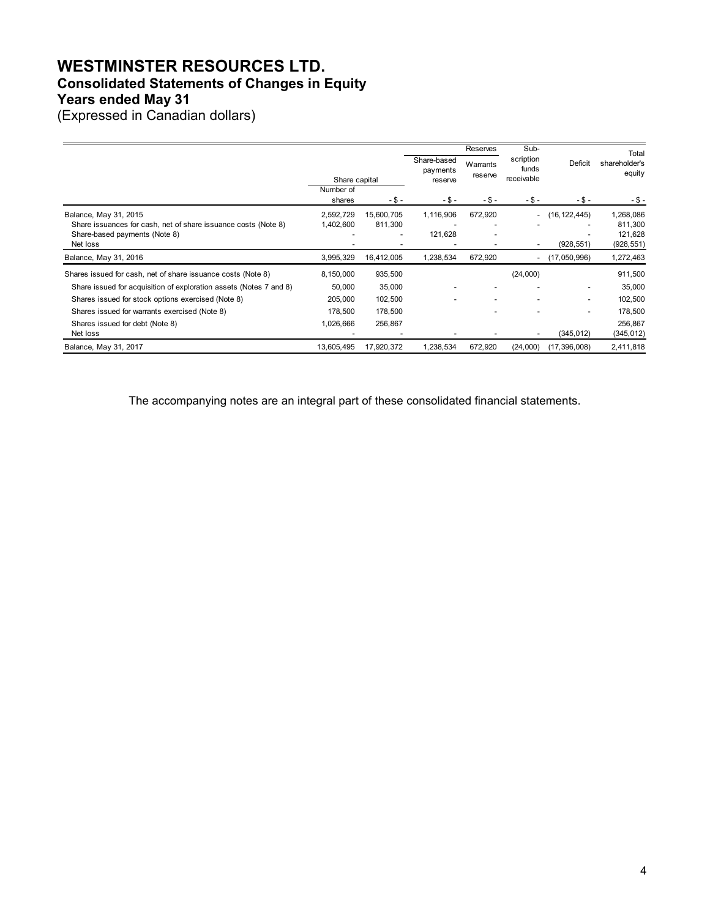# **WESTMINSTER RESOURCES LTD. Consolidated Statements of Changes in Equity Years ended May 31**

(Expressed in Canadian dollars)

|                                                                    |                     |            |                         | Reserves            | Sub-                     |                          | Total                   |
|--------------------------------------------------------------------|---------------------|------------|-------------------------|---------------------|--------------------------|--------------------------|-------------------------|
|                                                                    |                     |            | Share-based<br>payments | Warrants<br>reserve | scription<br>funds       | <b>Deficit</b>           | shareholder's<br>equity |
|                                                                    | Share capital       |            | reserve                 |                     | receivable               |                          |                         |
|                                                                    | Number of<br>shares | $-5 -$     | $-5-$                   | $-$ \$ $-$          | $-5-$                    | $-$ \$ $-$               |                         |
|                                                                    |                     |            |                         |                     |                          |                          | -\$-                    |
| Balance, May 31, 2015                                              | 2,592,729           | 15,600,705 | 1,116,906               | 672,920             | $\sim$                   | (16, 122, 445)           | 1,268,086               |
| Share issuances for cash, net of share issuance costs (Note 8)     | 1,402,600           | 811,300    |                         |                     |                          |                          | 811,300                 |
| Share-based payments (Note 8)                                      |                     |            | 121,628                 |                     |                          |                          | 121,628                 |
| Net loss                                                           |                     |            |                         |                     | $\overline{\phantom{a}}$ | (928, 551)               | (928, 551)              |
| Balance, May 31, 2016                                              | 3,995,329           | 16,412,005 | 1,238,534               | 672,920             |                          | (17,050,996)             | 1,272,463               |
| Shares issued for cash, net of share issuance costs (Note 8)       | 8,150,000           | 935,500    |                         |                     | (24,000)                 |                          | 911,500                 |
| Share issued for acquisition of exploration assets (Notes 7 and 8) | 50,000              | 35,000     |                         |                     |                          | $\overline{\phantom{a}}$ | 35,000                  |
| Shares issued for stock options exercised (Note 8)                 | 205,000             | 102,500    |                         |                     |                          | $\blacksquare$           | 102,500                 |
| Shares issued for warrants exercised (Note 8)                      | 178,500             | 178,500    |                         |                     |                          | ۰                        | 178,500                 |
| Shares issued for debt (Note 8)                                    | 1,026,666           | 256,867    |                         |                     |                          |                          | 256,867                 |
| Net loss                                                           |                     |            |                         |                     |                          | (345, 012)               | (345, 012)              |
| Balance, May 31, 2017                                              | 13,605,495          | 17,920,372 | 1,238,534               | 672,920             | (24,000)                 | (17, 396, 008)           | 2,411,818               |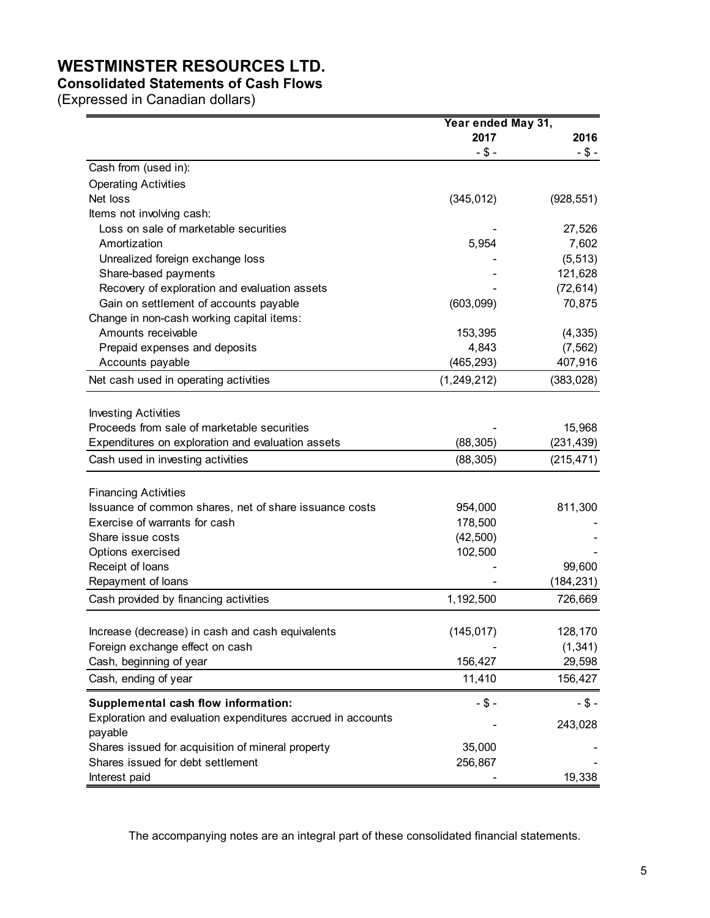# **WESTMINSTER RESOURCES LTD.**

# **Consolidated Statements of Cash Flows**

(Expressed in Canadian dollars)

|                                                              | Year ended May 31, |            |
|--------------------------------------------------------------|--------------------|------------|
|                                                              | 2017               | 2016       |
|                                                              | $-$ \$ -           | $- $ -$    |
| Cash from (used in):                                         |                    |            |
| <b>Operating Activities</b>                                  |                    |            |
| Net loss                                                     | (345, 012)         | (928, 551) |
| Items not involving cash:                                    |                    |            |
| Loss on sale of marketable securities                        |                    | 27,526     |
| Amortization                                                 | 5,954              | 7,602      |
| Unrealized foreign exchange loss                             |                    | (5, 513)   |
| Share-based payments                                         |                    | 121,628    |
| Recovery of exploration and evaluation assets                |                    | (72, 614)  |
| Gain on settlement of accounts payable                       | (603,099)          | 70,875     |
| Change in non-cash working capital items:                    |                    |            |
| Amounts receivable                                           | 153,395            | (4, 335)   |
| Prepaid expenses and deposits                                | 4,843              | (7, 562)   |
| Accounts payable                                             | (465, 293)         | 407,916    |
| Net cash used in operating activities                        | (1, 249, 212)      | (383, 028) |
|                                                              |                    |            |
| <b>Investing Activities</b>                                  |                    |            |
| Proceeds from sale of marketable securities                  |                    | 15,968     |
| Expenditures on exploration and evaluation assets            | (88, 305)          | (231, 439) |
| Cash used in investing activities                            | (88, 305)          | (215, 471) |
|                                                              |                    |            |
| <b>Financing Activities</b>                                  |                    |            |
| Issuance of common shares, net of share issuance costs       | 954,000            | 811,300    |
| Exercise of warrants for cash                                | 178,500            |            |
| Share issue costs                                            | (42, 500)          |            |
| Options exercised                                            | 102,500            |            |
| Receipt of loans                                             |                    | 99,600     |
| Repayment of loans                                           |                    | (184, 231) |
| Cash provided by financing activities                        | 1,192,500          | 726,669    |
| Increase (decrease) in cash and cash equivalents             |                    | 128,170    |
| Foreign exchange effect on cash                              | (145, 017)         | (1, 341)   |
|                                                              |                    |            |
| Cash, beginning of year                                      | 156,427            | 29,598     |
| Cash, ending of year                                         | 11,410             | 156,427    |
| Supplemental cash flow information:                          | $-$ \$ -           | $-$ \$ -   |
| Exploration and evaluation expenditures accrued in accounts  |                    | 243,028    |
| payable<br>Shares issued for acquisition of mineral property | 35,000             |            |
| Shares issued for debt settlement                            | 256,867            |            |
|                                                              |                    |            |
| Interest paid                                                |                    | 19,338     |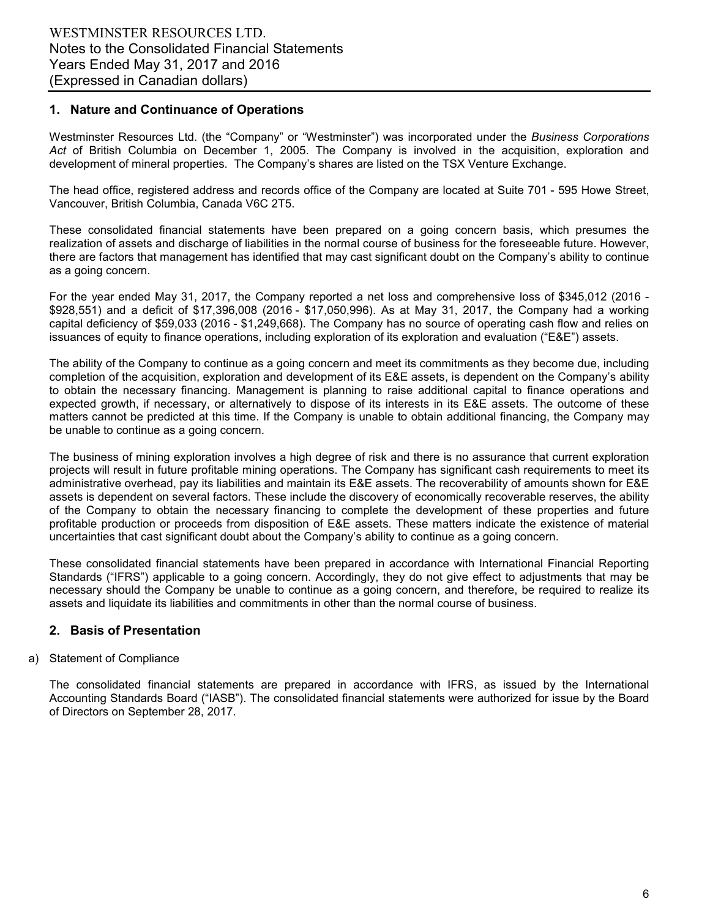# **1. Nature and Continuance of Operations**

Westminster Resources Ltd. (the "Company" or "Westminster") was incorporated under the *Business Corporations Act* of British Columbia on December 1, 2005. The Company is involved in the acquisition, exploration and development of mineral properties. The Company's shares are listed on the TSX Venture Exchange.

The head office, registered address and records office of the Company are located at Suite 701 - 595 Howe Street, Vancouver, British Columbia, Canada V6C 2T5.

These consolidated financial statements have been prepared on a going concern basis, which presumes the realization of assets and discharge of liabilities in the normal course of business for the foreseeable future. However, there are factors that management has identified that may cast significant doubt on the Company's ability to continue as a going concern.

For the year ended May 31, 2017, the Company reported a net loss and comprehensive loss of \$345,012 (2016 - \$928,551) and a deficit of \$17,396,008 (2016 - \$17,050,996). As at May 31, 2017, the Company had a working capital deficiency of \$59,033 (2016 - \$1,249,668). The Company has no source of operating cash flow and relies on issuances of equity to finance operations, including exploration of its exploration and evaluation ("E&E") assets.

The ability of the Company to continue as a going concern and meet its commitments as they become due, including completion of the acquisition, exploration and development of its E&E assets, is dependent on the Company's ability to obtain the necessary financing. Management is planning to raise additional capital to finance operations and expected growth, if necessary, or alternatively to dispose of its interests in its E&E assets. The outcome of these matters cannot be predicted at this time. If the Company is unable to obtain additional financing, the Company may be unable to continue as a going concern.

The business of mining exploration involves a high degree of risk and there is no assurance that current exploration projects will result in future profitable mining operations. The Company has significant cash requirements to meet its administrative overhead, pay its liabilities and maintain its E&E assets. The recoverability of amounts shown for E&E assets is dependent on several factors. These include the discovery of economically recoverable reserves, the ability of the Company to obtain the necessary financing to complete the development of these properties and future profitable production or proceeds from disposition of E&E assets. These matters indicate the existence of material uncertainties that cast significant doubt about the Company's ability to continue as a going concern.

These consolidated financial statements have been prepared in accordance with International Financial Reporting Standards ("IFRS") applicable to a going concern. Accordingly, they do not give effect to adjustments that may be necessary should the Company be unable to continue as a going concern, and therefore, be required to realize its assets and liquidate its liabilities and commitments in other than the normal course of business.

# **2. Basis of Presentation**

#### a) Statement of Compliance

The consolidated financial statements are prepared in accordance with IFRS, as issued by the International Accounting Standards Board ("IASB"). The consolidated financial statements were authorized for issue by the Board of Directors on September 28, 2017.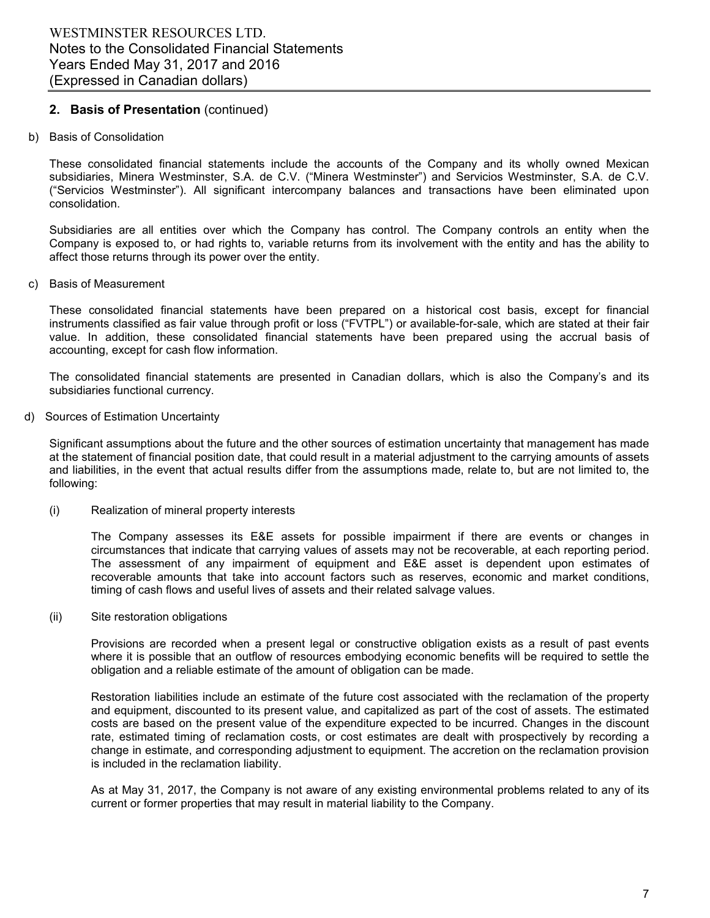# **2. Basis of Presentation** (continued)

b) Basis of Consolidation

These consolidated financial statements include the accounts of the Company and its wholly owned Mexican subsidiaries, Minera Westminster, S.A. de C.V. ("Minera Westminster") and Servicios Westminster, S.A. de C.V. ("Servicios Westminster"). All significant intercompany balances and transactions have been eliminated upon consolidation.

Subsidiaries are all entities over which the Company has control. The Company controls an entity when the Company is exposed to, or had rights to, variable returns from its involvement with the entity and has the ability to affect those returns through its power over the entity.

c) Basis of Measurement

These consolidated financial statements have been prepared on a historical cost basis, except for financial instruments classified as fair value through profit or loss ("FVTPL") or available-for-sale, which are stated at their fair value. In addition, these consolidated financial statements have been prepared using the accrual basis of accounting, except for cash flow information.

The consolidated financial statements are presented in Canadian dollars, which is also the Company's and its subsidiaries functional currency.

d) Sources of Estimation Uncertainty

Significant assumptions about the future and the other sources of estimation uncertainty that management has made at the statement of financial position date, that could result in a material adjustment to the carrying amounts of assets and liabilities, in the event that actual results differ from the assumptions made, relate to, but are not limited to, the following:

(i) Realization of mineral property interests

The Company assesses its E&E assets for possible impairment if there are events or changes in circumstances that indicate that carrying values of assets may not be recoverable, at each reporting period. The assessment of any impairment of equipment and E&E asset is dependent upon estimates of recoverable amounts that take into account factors such as reserves, economic and market conditions, timing of cash flows and useful lives of assets and their related salvage values.

(ii) Site restoration obligations

Provisions are recorded when a present legal or constructive obligation exists as a result of past events where it is possible that an outflow of resources embodying economic benefits will be required to settle the obligation and a reliable estimate of the amount of obligation can be made.

Restoration liabilities include an estimate of the future cost associated with the reclamation of the property and equipment, discounted to its present value, and capitalized as part of the cost of assets. The estimated costs are based on the present value of the expenditure expected to be incurred. Changes in the discount rate, estimated timing of reclamation costs, or cost estimates are dealt with prospectively by recording a change in estimate, and corresponding adjustment to equipment. The accretion on the reclamation provision is included in the reclamation liability.

As at May 31, 2017, the Company is not aware of any existing environmental problems related to any of its current or former properties that may result in material liability to the Company.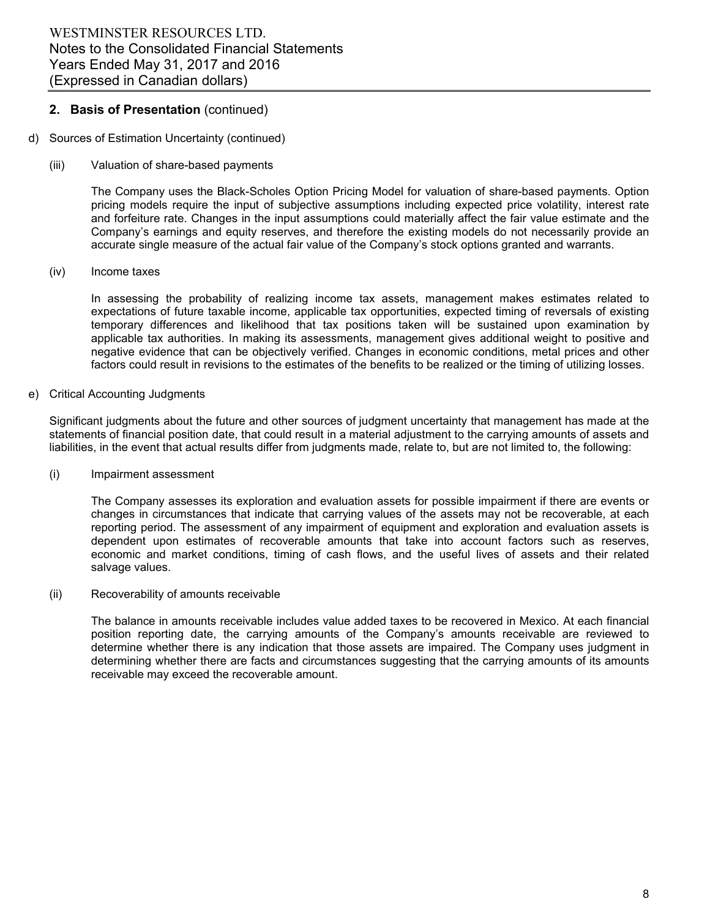# **2. Basis of Presentation** (continued)

- d) Sources of Estimation Uncertainty (continued)
	- (iii) Valuation of share-based payments

The Company uses the Black-Scholes Option Pricing Model for valuation of share-based payments. Option pricing models require the input of subjective assumptions including expected price volatility, interest rate and forfeiture rate. Changes in the input assumptions could materially affect the fair value estimate and the Company's earnings and equity reserves, and therefore the existing models do not necessarily provide an accurate single measure of the actual fair value of the Company's stock options granted and warrants.

(iv) Income taxes

In assessing the probability of realizing income tax assets, management makes estimates related to expectations of future taxable income, applicable tax opportunities, expected timing of reversals of existing temporary differences and likelihood that tax positions taken will be sustained upon examination by applicable tax authorities. In making its assessments, management gives additional weight to positive and negative evidence that can be objectively verified. Changes in economic conditions, metal prices and other factors could result in revisions to the estimates of the benefits to be realized or the timing of utilizing losses.

e) Critical Accounting Judgments

Significant judgments about the future and other sources of judgment uncertainty that management has made at the statements of financial position date, that could result in a material adjustment to the carrying amounts of assets and liabilities, in the event that actual results differ from judgments made, relate to, but are not limited to, the following:

(i) Impairment assessment

The Company assesses its exploration and evaluation assets for possible impairment if there are events or changes in circumstances that indicate that carrying values of the assets may not be recoverable, at each reporting period. The assessment of any impairment of equipment and exploration and evaluation assets is dependent upon estimates of recoverable amounts that take into account factors such as reserves, economic and market conditions, timing of cash flows, and the useful lives of assets and their related salvage values.

(ii) Recoverability of amounts receivable

The balance in amounts receivable includes value added taxes to be recovered in Mexico. At each financial position reporting date, the carrying amounts of the Company's amounts receivable are reviewed to determine whether there is any indication that those assets are impaired. The Company uses judgment in determining whether there are facts and circumstances suggesting that the carrying amounts of its amounts receivable may exceed the recoverable amount.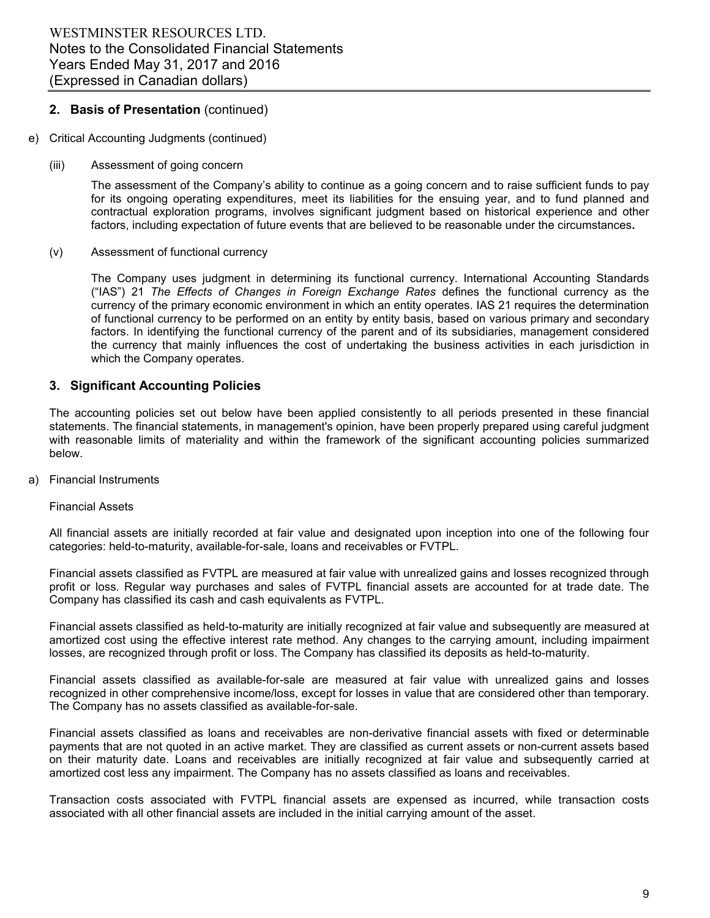# **2. Basis of Presentation** (continued)

- e) Critical Accounting Judgments (continued)
	- (iii) Assessment of going concern

The assessment of the Company's ability to continue as a going concern and to raise sufficient funds to pay for its ongoing operating expenditures, meet its liabilities for the ensuing year, and to fund planned and contractual exploration programs, involves significant judgment based on historical experience and other factors, including expectation of future events that are believed to be reasonable under the circumstances**.**

(v) Assessment of functional currency

The Company uses judgment in determining its functional currency. International Accounting Standards ("IAS") 21 *The Effects of Changes in Foreign Exchange Rates* defines the functional currency as the currency of the primary economic environment in which an entity operates. IAS 21 requires the determination of functional currency to be performed on an entity by entity basis, based on various primary and secondary factors. In identifying the functional currency of the parent and of its subsidiaries, management considered the currency that mainly influences the cost of undertaking the business activities in each jurisdiction in which the Company operates.

# **3. Significant Accounting Policies**

The accounting policies set out below have been applied consistently to all periods presented in these financial statements. The financial statements, in management's opinion, have been properly prepared using careful judgment with reasonable limits of materiality and within the framework of the significant accounting policies summarized below.

a) Financial Instruments

Financial Assets

All financial assets are initially recorded at fair value and designated upon inception into one of the following four categories: held-to-maturity, available-for-sale, loans and receivables or FVTPL.

Financial assets classified as FVTPL are measured at fair value with unrealized gains and losses recognized through profit or loss. Regular way purchases and sales of FVTPL financial assets are accounted for at trade date. The Company has classified its cash and cash equivalents as FVTPL.

Financial assets classified as held-to-maturity are initially recognized at fair value and subsequently are measured at amortized cost using the effective interest rate method. Any changes to the carrying amount, including impairment losses, are recognized through profit or loss. The Company has classified its deposits as held-to-maturity.

Financial assets classified as available-for-sale are measured at fair value with unrealized gains and losses recognized in other comprehensive income/loss, except for losses in value that are considered other than temporary. The Company has no assets classified as available-for-sale.

Financial assets classified as loans and receivables are non-derivative financial assets with fixed or determinable payments that are not quoted in an active market. They are classified as current assets or non-current assets based on their maturity date. Loans and receivables are initially recognized at fair value and subsequently carried at amortized cost less any impairment. The Company has no assets classified as loans and receivables.

Transaction costs associated with FVTPL financial assets are expensed as incurred, while transaction costs associated with all other financial assets are included in the initial carrying amount of the asset.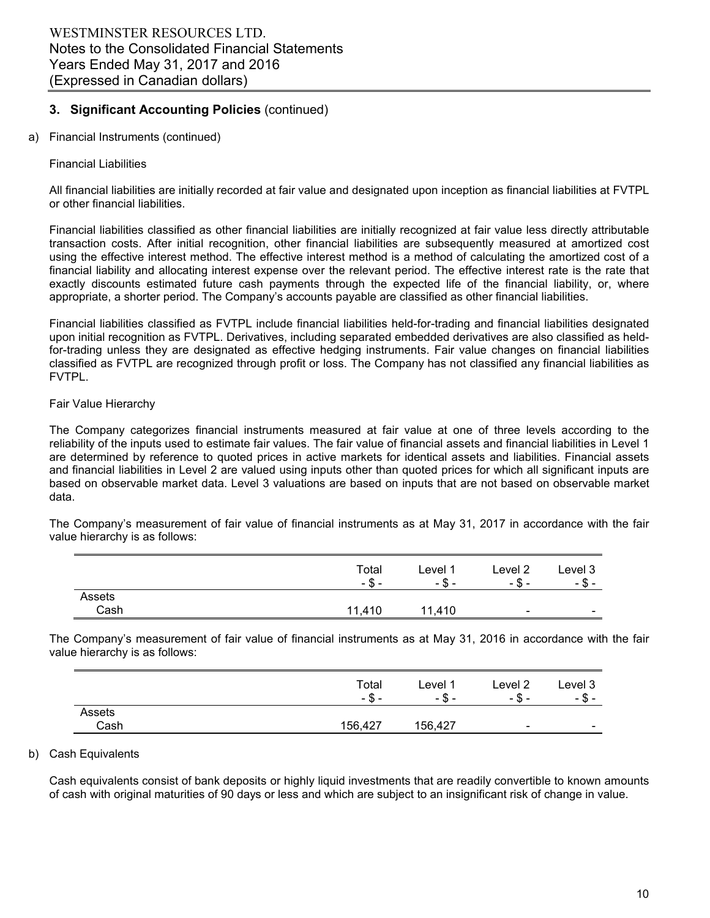a) Financial Instruments (continued)

# Financial Liabilities

All financial liabilities are initially recorded at fair value and designated upon inception as financial liabilities at FVTPL or other financial liabilities.

Financial liabilities classified as other financial liabilities are initially recognized at fair value less directly attributable transaction costs. After initial recognition, other financial liabilities are subsequently measured at amortized cost using the effective interest method. The effective interest method is a method of calculating the amortized cost of a financial liability and allocating interest expense over the relevant period. The effective interest rate is the rate that exactly discounts estimated future cash payments through the expected life of the financial liability, or, where appropriate, a shorter period. The Company's accounts payable are classified as other financial liabilities.

Financial liabilities classified as FVTPL include financial liabilities held-for-trading and financial liabilities designated upon initial recognition as FVTPL. Derivatives, including separated embedded derivatives are also classified as heldfor-trading unless they are designated as effective hedging instruments. Fair value changes on financial liabilities classified as FVTPL are recognized through profit or loss. The Company has not classified any financial liabilities as FVTPL.

# Fair Value Hierarchy

The Company categorizes financial instruments measured at fair value at one of three levels according to the reliability of the inputs used to estimate fair values. The fair value of financial assets and financial liabilities in Level 1 are determined by reference to quoted prices in active markets for identical assets and liabilities. Financial assets and financial liabilities in Level 2 are valued using inputs other than quoted prices for which all significant inputs are based on observable market data. Level 3 valuations are based on inputs that are not based on observable market data.

The Company's measurement of fair value of financial instruments as at May 31, 2017 in accordance with the fair value hierarchy is as follows:

|        | Total<br>- \$<br>- | Level 1<br>Φ<br>- ა - | Level 2<br>- \$ -        | Level 3<br>— თ. –        |
|--------|--------------------|-----------------------|--------------------------|--------------------------|
| Assets |                    |                       |                          |                          |
| Cash   | 11.410             | 11,410                | $\overline{\phantom{0}}$ | $\overline{\phantom{a}}$ |

The Company's measurement of fair value of financial instruments as at May 31, 2016 in accordance with the fair value hierarchy is as follows:

|        | Total<br>- \$ - | ∟evel <sup>1</sup><br>-ა- | Level 2<br>- \$ -        | Level 3<br>ጦ<br>-აა-     |
|--------|-----------------|---------------------------|--------------------------|--------------------------|
| Assets |                 |                           |                          |                          |
| Cash   | 156,427         | 156,427                   | $\overline{\phantom{0}}$ | $\overline{\phantom{a}}$ |

# b) Cash Equivalents

Cash equivalents consist of bank deposits or highly liquid investments that are readily convertible to known amounts of cash with original maturities of 90 days or less and which are subject to an insignificant risk of change in value.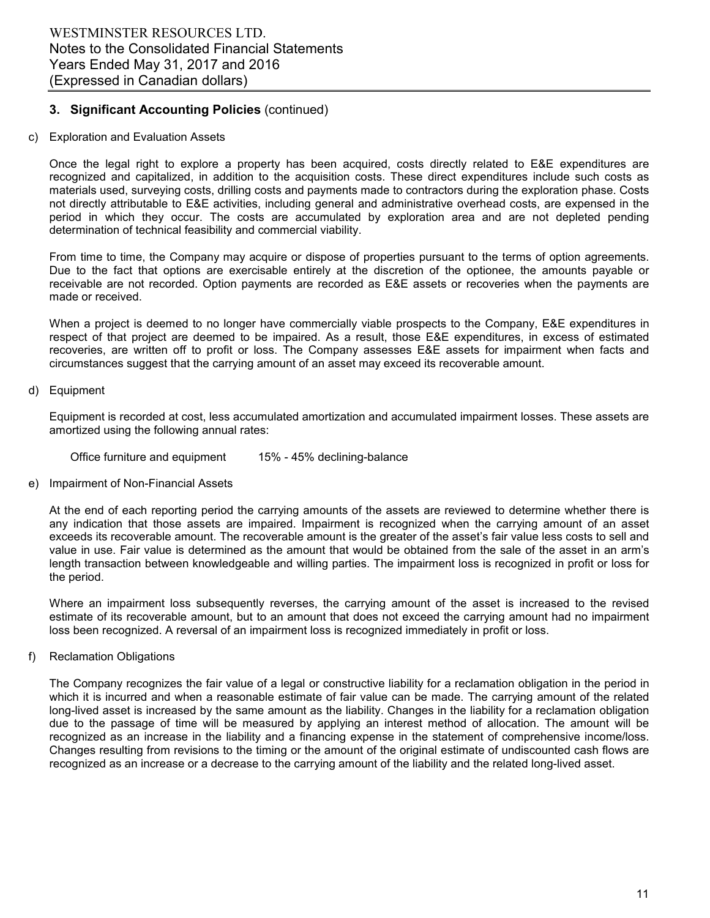# c) Exploration and Evaluation Assets

Once the legal right to explore a property has been acquired, costs directly related to E&E expenditures are recognized and capitalized, in addition to the acquisition costs. These direct expenditures include such costs as materials used, surveying costs, drilling costs and payments made to contractors during the exploration phase. Costs not directly attributable to E&E activities, including general and administrative overhead costs, are expensed in the period in which they occur. The costs are accumulated by exploration area and are not depleted pending determination of technical feasibility and commercial viability.

From time to time, the Company may acquire or dispose of properties pursuant to the terms of option agreements. Due to the fact that options are exercisable entirely at the discretion of the optionee, the amounts payable or receivable are not recorded. Option payments are recorded as E&E assets or recoveries when the payments are made or received.

When a project is deemed to no longer have commercially viable prospects to the Company, E&E expenditures in respect of that project are deemed to be impaired. As a result, those E&E expenditures, in excess of estimated recoveries, are written off to profit or loss. The Company assesses E&E assets for impairment when facts and circumstances suggest that the carrying amount of an asset may exceed its recoverable amount.

# d) Equipment

Equipment is recorded at cost, less accumulated amortization and accumulated impairment losses. These assets are amortized using the following annual rates:

Office furniture and equipment 15% - 45% declining-balance

# e) Impairment of Non-Financial Assets

At the end of each reporting period the carrying amounts of the assets are reviewed to determine whether there is any indication that those assets are impaired. Impairment is recognized when the carrying amount of an asset exceeds its recoverable amount. The recoverable amount is the greater of the asset's fair value less costs to sell and value in use. Fair value is determined as the amount that would be obtained from the sale of the asset in an arm's length transaction between knowledgeable and willing parties. The impairment loss is recognized in profit or loss for the period.

Where an impairment loss subsequently reverses, the carrying amount of the asset is increased to the revised estimate of its recoverable amount, but to an amount that does not exceed the carrying amount had no impairment loss been recognized. A reversal of an impairment loss is recognized immediately in profit or loss.

f) Reclamation Obligations

The Company recognizes the fair value of a legal or constructive liability for a reclamation obligation in the period in which it is incurred and when a reasonable estimate of fair value can be made. The carrying amount of the related long-lived asset is increased by the same amount as the liability. Changes in the liability for a reclamation obligation due to the passage of time will be measured by applying an interest method of allocation. The amount will be recognized as an increase in the liability and a financing expense in the statement of comprehensive income/loss. Changes resulting from revisions to the timing or the amount of the original estimate of undiscounted cash flows are recognized as an increase or a decrease to the carrying amount of the liability and the related long-lived asset.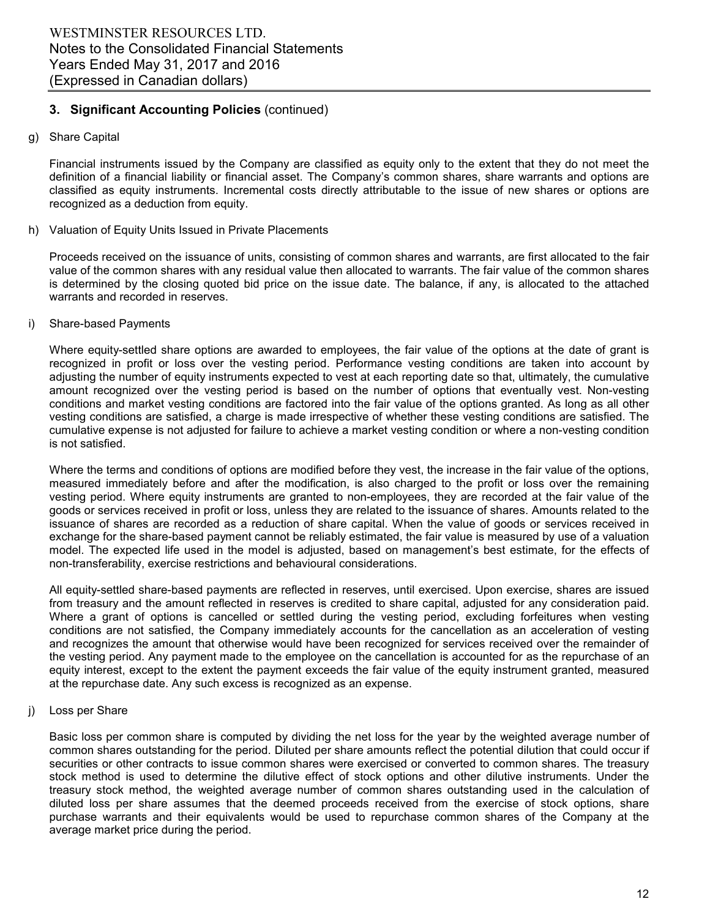# g) Share Capital

Financial instruments issued by the Company are classified as equity only to the extent that they do not meet the definition of a financial liability or financial asset. The Company's common shares, share warrants and options are classified as equity instruments. Incremental costs directly attributable to the issue of new shares or options are recognized as a deduction from equity.

#### h) Valuation of Equity Units Issued in Private Placements

Proceeds received on the issuance of units, consisting of common shares and warrants, are first allocated to the fair value of the common shares with any residual value then allocated to warrants. The fair value of the common shares is determined by the closing quoted bid price on the issue date. The balance, if any, is allocated to the attached warrants and recorded in reserves.

#### i) Share-based Payments

Where equity-settled share options are awarded to employees, the fair value of the options at the date of grant is recognized in profit or loss over the vesting period. Performance vesting conditions are taken into account by adjusting the number of equity instruments expected to vest at each reporting date so that, ultimately, the cumulative amount recognized over the vesting period is based on the number of options that eventually vest. Non-vesting conditions and market vesting conditions are factored into the fair value of the options granted. As long as all other vesting conditions are satisfied, a charge is made irrespective of whether these vesting conditions are satisfied. The cumulative expense is not adjusted for failure to achieve a market vesting condition or where a non-vesting condition is not satisfied.

Where the terms and conditions of options are modified before they vest, the increase in the fair value of the options, measured immediately before and after the modification, is also charged to the profit or loss over the remaining vesting period. Where equity instruments are granted to non-employees, they are recorded at the fair value of the goods or services received in profit or loss, unless they are related to the issuance of shares. Amounts related to the issuance of shares are recorded as a reduction of share capital. When the value of goods or services received in exchange for the share-based payment cannot be reliably estimated, the fair value is measured by use of a valuation model. The expected life used in the model is adjusted, based on management's best estimate, for the effects of non-transferability, exercise restrictions and behavioural considerations.

All equity-settled share-based payments are reflected in reserves, until exercised. Upon exercise, shares are issued from treasury and the amount reflected in reserves is credited to share capital, adjusted for any consideration paid. Where a grant of options is cancelled or settled during the vesting period, excluding forfeitures when vesting conditions are not satisfied, the Company immediately accounts for the cancellation as an acceleration of vesting and recognizes the amount that otherwise would have been recognized for services received over the remainder of the vesting period. Any payment made to the employee on the cancellation is accounted for as the repurchase of an equity interest, except to the extent the payment exceeds the fair value of the equity instrument granted, measured at the repurchase date. Any such excess is recognized as an expense.

#### j) Loss per Share

Basic loss per common share is computed by dividing the net loss for the year by the weighted average number of common shares outstanding for the period. Diluted per share amounts reflect the potential dilution that could occur if securities or other contracts to issue common shares were exercised or converted to common shares. The treasury stock method is used to determine the dilutive effect of stock options and other dilutive instruments. Under the treasury stock method, the weighted average number of common shares outstanding used in the calculation of diluted loss per share assumes that the deemed proceeds received from the exercise of stock options, share purchase warrants and their equivalents would be used to repurchase common shares of the Company at the average market price during the period.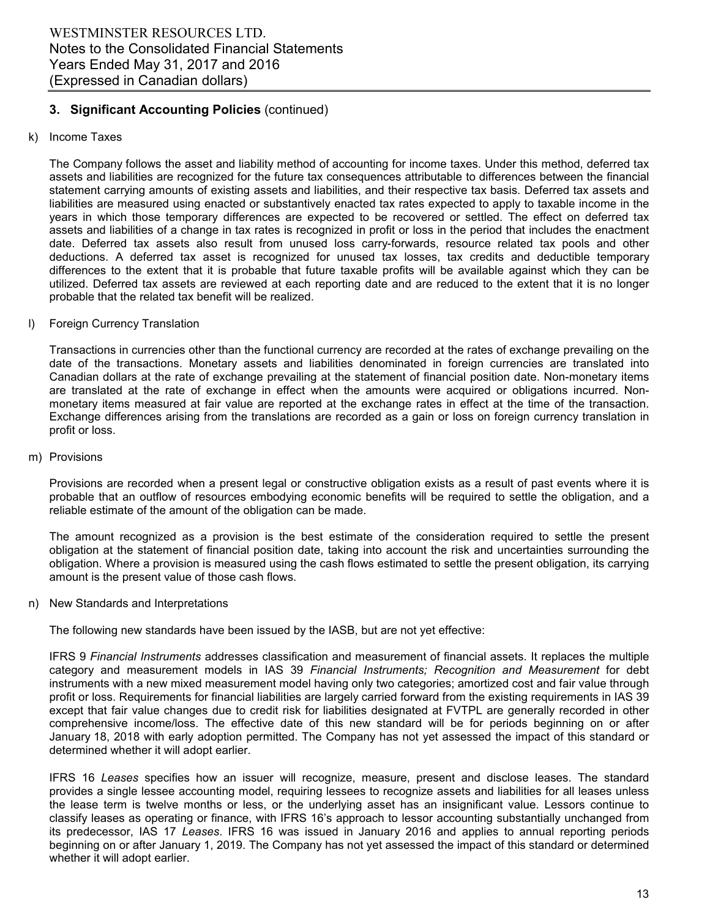# k) Income Taxes

The Company follows the asset and liability method of accounting for income taxes. Under this method, deferred tax assets and liabilities are recognized for the future tax consequences attributable to differences between the financial statement carrying amounts of existing assets and liabilities, and their respective tax basis. Deferred tax assets and liabilities are measured using enacted or substantively enacted tax rates expected to apply to taxable income in the years in which those temporary differences are expected to be recovered or settled. The effect on deferred tax assets and liabilities of a change in tax rates is recognized in profit or loss in the period that includes the enactment date. Deferred tax assets also result from unused loss carry-forwards, resource related tax pools and other deductions. A deferred tax asset is recognized for unused tax losses, tax credits and deductible temporary differences to the extent that it is probable that future taxable profits will be available against which they can be utilized. Deferred tax assets are reviewed at each reporting date and are reduced to the extent that it is no longer probable that the related tax benefit will be realized.

# l) Foreign Currency Translation

Transactions in currencies other than the functional currency are recorded at the rates of exchange prevailing on the date of the transactions. Monetary assets and liabilities denominated in foreign currencies are translated into Canadian dollars at the rate of exchange prevailing at the statement of financial position date. Non-monetary items are translated at the rate of exchange in effect when the amounts were acquired or obligations incurred. Nonmonetary items measured at fair value are reported at the exchange rates in effect at the time of the transaction. Exchange differences arising from the translations are recorded as a gain or loss on foreign currency translation in profit or loss.

#### m) Provisions

Provisions are recorded when a present legal or constructive obligation exists as a result of past events where it is probable that an outflow of resources embodying economic benefits will be required to settle the obligation, and a reliable estimate of the amount of the obligation can be made.

The amount recognized as a provision is the best estimate of the consideration required to settle the present obligation at the statement of financial position date, taking into account the risk and uncertainties surrounding the obligation. Where a provision is measured using the cash flows estimated to settle the present obligation, its carrying amount is the present value of those cash flows.

#### n) New Standards and Interpretations

The following new standards have been issued by the IASB, but are not yet effective:

IFRS 9 *Financial Instruments* addresses classification and measurement of financial assets. It replaces the multiple category and measurement models in IAS 39 *Financial Instruments; Recognition and Measurement* for debt instruments with a new mixed measurement model having only two categories; amortized cost and fair value through profit or loss. Requirements for financial liabilities are largely carried forward from the existing requirements in IAS 39 except that fair value changes due to credit risk for liabilities designated at FVTPL are generally recorded in other comprehensive income/loss. The effective date of this new standard will be for periods beginning on or after January 18, 2018 with early adoption permitted. The Company has not yet assessed the impact of this standard or determined whether it will adopt earlier.

IFRS 16 *Leases* specifies how an issuer will recognize, measure, present and disclose leases. The standard provides a single lessee accounting model, requiring lessees to recognize assets and liabilities for all leases unless the lease term is twelve months or less, or the underlying asset has an insignificant value. Lessors continue to classify leases as operating or finance, with IFRS 16's approach to lessor accounting substantially unchanged from its predecessor, IAS 17 *Leases*. IFRS 16 was issued in January 2016 and applies to annual reporting periods beginning on or after January 1, 2019. The Company has not yet assessed the impact of this standard or determined whether it will adopt earlier.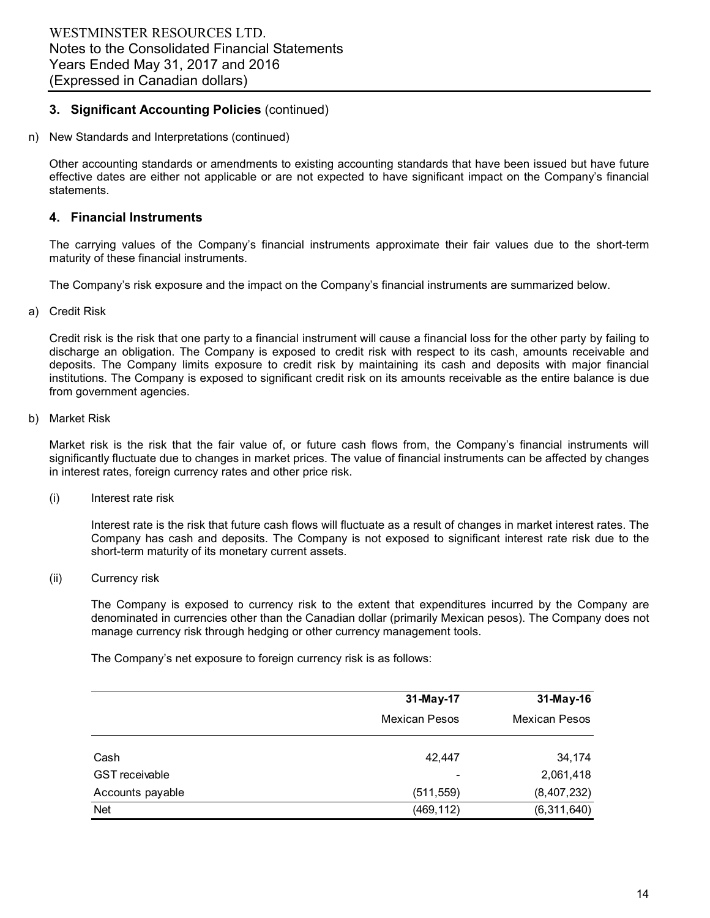n) New Standards and Interpretations (continued)

Other accounting standards or amendments to existing accounting standards that have been issued but have future effective dates are either not applicable or are not expected to have significant impact on the Company's financial statements.

# **4. Financial Instruments**

The carrying values of the Company's financial instruments approximate their fair values due to the short-term maturity of these financial instruments.

The Company's risk exposure and the impact on the Company's financial instruments are summarized below.

#### a) Credit Risk

Credit risk is the risk that one party to a financial instrument will cause a financial loss for the other party by failing to discharge an obligation. The Company is exposed to credit risk with respect to its cash, amounts receivable and deposits. The Company limits exposure to credit risk by maintaining its cash and deposits with major financial institutions. The Company is exposed to significant credit risk on its amounts receivable as the entire balance is due from government agencies.

#### b) Market Risk

Market risk is the risk that the fair value of, or future cash flows from, the Company's financial instruments will significantly fluctuate due to changes in market prices. The value of financial instruments can be affected by changes in interest rates, foreign currency rates and other price risk.

(i) Interest rate risk

Interest rate is the risk that future cash flows will fluctuate as a result of changes in market interest rates. The Company has cash and deposits. The Company is not exposed to significant interest rate risk due to the short-term maturity of its monetary current assets.

(ii) Currency risk

The Company is exposed to currency risk to the extent that expenditures incurred by the Company are denominated in currencies other than the Canadian dollar (primarily Mexican pesos). The Company does not manage currency risk through hedging or other currency management tools.

The Company's net exposure to foreign currency risk is as follows:

|                       | 31-May-17            | 31-May-16            |
|-----------------------|----------------------|----------------------|
|                       | <b>Mexican Pesos</b> | <b>Mexican Pesos</b> |
| Cash                  | 42,447               | 34,174               |
| <b>GST</b> receivable |                      | 2,061,418            |
| Accounts payable      | (511, 559)           | (8,407,232)          |
| <b>Net</b>            | (469, 112)           | (6,311,640)          |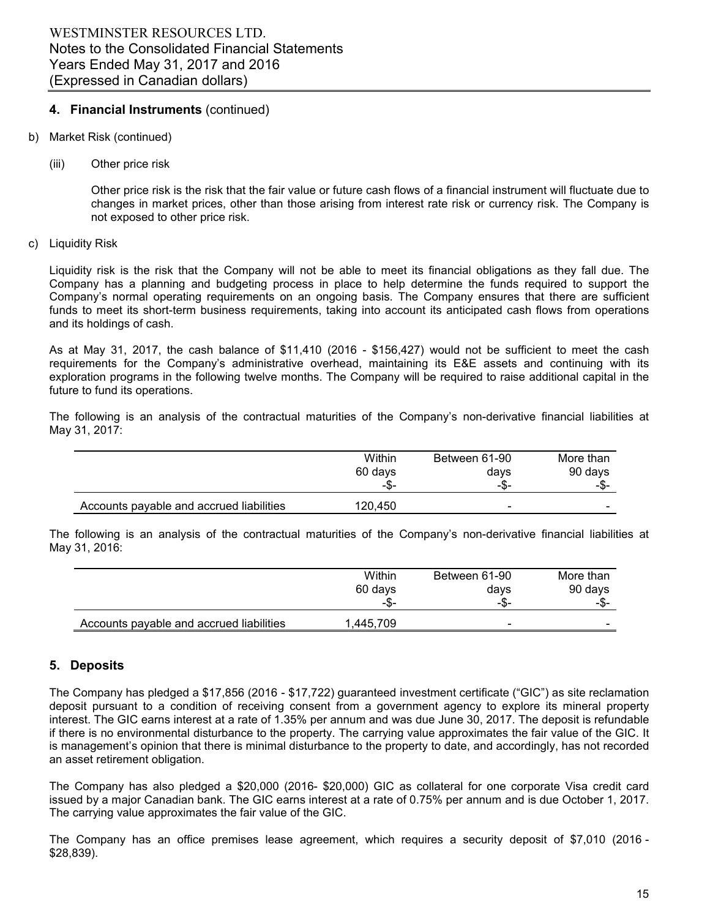# **4. Financial Instruments** (continued)

- b) Market Risk (continued)
	- (iii) Other price risk

Other price risk is the risk that the fair value or future cash flows of a financial instrument will fluctuate due to changes in market prices, other than those arising from interest rate risk or currency risk. The Company is not exposed to other price risk.

#### c) Liquidity Risk

Liquidity risk is the risk that the Company will not be able to meet its financial obligations as they fall due. The Company has a planning and budgeting process in place to help determine the funds required to support the Company's normal operating requirements on an ongoing basis. The Company ensures that there are sufficient funds to meet its short-term business requirements, taking into account its anticipated cash flows from operations and its holdings of cash.

As at May 31, 2017, the cash balance of \$11,410 (2016 - \$156,427) would not be sufficient to meet the cash requirements for the Company's administrative overhead, maintaining its E&E assets and continuing with its exploration programs in the following twelve months. The Company will be required to raise additional capital in the future to fund its operations.

The following is an analysis of the contractual maturities of the Company's non-derivative financial liabilities at May 31, 2017:

|                                          | Within  | Between 61-90 | More than |
|------------------------------------------|---------|---------------|-----------|
|                                          | 60 days | days          | 90 days   |
|                                          | -\$-    | -\$-          | -\$-      |
| Accounts payable and accrued liabilities | 120.450 | ۰             |           |

The following is an analysis of the contractual maturities of the Company's non-derivative financial liabilities at May 31, 2016:

|                                          | Within    | Between 61-90            | More than |
|------------------------------------------|-----------|--------------------------|-----------|
|                                          | 60 days   | days                     | 90 days   |
|                                          | -\$-      | -\$-                     | -\$-      |
| Accounts payable and accrued liabilities | 1.445.709 | $\overline{\phantom{0}}$ |           |

# **5. Deposits**

The Company has pledged a \$17,856 (2016 - \$17,722) guaranteed investment certificate ("GIC") as site reclamation deposit pursuant to a condition of receiving consent from a government agency to explore its mineral property interest. The GIC earns interest at a rate of 1.35% per annum and was due June 30, 2017. The deposit is refundable if there is no environmental disturbance to the property. The carrying value approximates the fair value of the GIC. It is management's opinion that there is minimal disturbance to the property to date, and accordingly, has not recorded an asset retirement obligation.

The Company has also pledged a \$20,000 (2016- \$20,000) GIC as collateral for one corporate Visa credit card issued by a major Canadian bank. The GIC earns interest at a rate of 0.75% per annum and is due October 1, 2017. The carrying value approximates the fair value of the GIC.

The Company has an office premises lease agreement, which requires a security deposit of \$7,010 (2016 - \$28,839).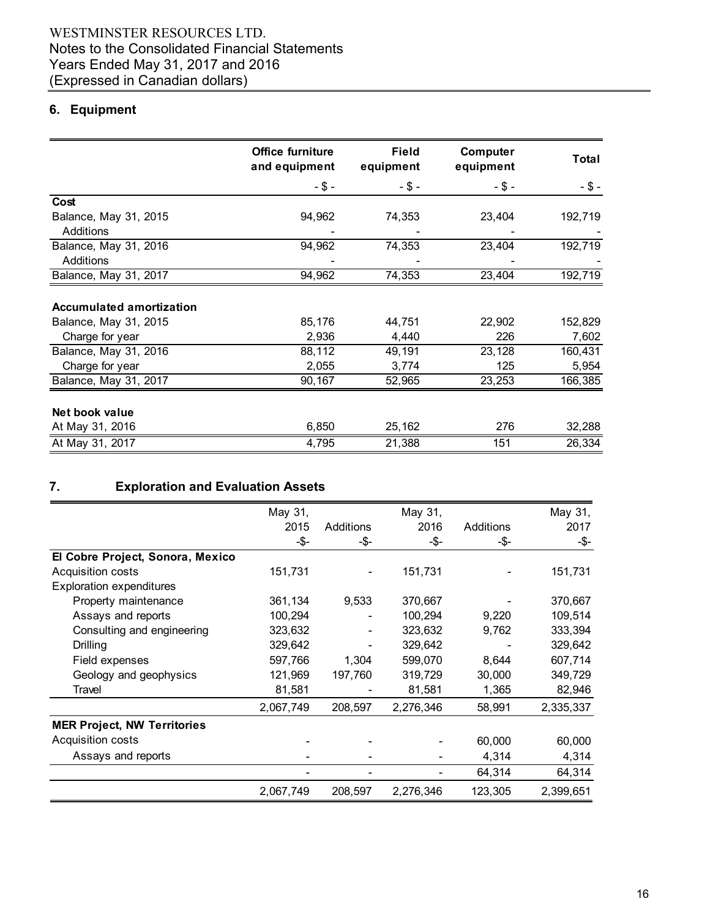# **6. Equipment**

|                                 | <b>Office furniture</b><br>and equipment | <b>Field</b><br>equipment | Computer<br>equipment | Total    |
|---------------------------------|------------------------------------------|---------------------------|-----------------------|----------|
|                                 | $-$ \$ $-$                               | $- $ -$                   | $-$ \$ -              | $-$ \$ - |
| Cost                            |                                          |                           |                       |          |
| Balance, May 31, 2015           | 94,962                                   | 74,353                    | 23,404                | 192,719  |
| Additions                       |                                          |                           |                       |          |
| Balance, May 31, 2016           | 94,962                                   | 74,353                    | 23,404                | 192,719  |
| Additions                       |                                          |                           |                       |          |
| Balance, May 31, 2017           | 94,962                                   | 74,353                    | 23,404                | 192,719  |
|                                 |                                          |                           |                       |          |
| <b>Accumulated amortization</b> |                                          |                           |                       |          |
| Balance, May 31, 2015           | 85,176                                   | 44,751                    | 22,902                | 152,829  |
| Charge for year                 | 2,936                                    | 4,440                     | 226                   | 7,602    |
| Balance, May 31, 2016           | 88,112                                   | 49,191                    | 23,128                | 160,431  |
| Charge for year                 | 2,055                                    | 3,774                     | 125                   | 5,954    |
| Balance, May 31, 2017           | 90,167                                   | 52,965                    | 23,253                | 166,385  |
|                                 |                                          |                           |                       |          |
| Net book value                  |                                          |                           |                       |          |
| At May 31, 2016                 | 6,850                                    | 25,162                    | 276                   | 32,288   |
| At May 31, 2017                 | 4,795                                    | 21,388                    | 151                   | 26,334   |

# **7. Exploration and Evaluation Assets**

|                                    | May 31,   |           | May 31,   |           | May 31,   |
|------------------------------------|-----------|-----------|-----------|-----------|-----------|
|                                    | 2015      | Additions | 2016      | Additions | 2017      |
|                                    | -\$-      | -\$-      | -\$-      | -\$-      | -\$-      |
| El Cobre Project, Sonora, Mexico   |           |           |           |           |           |
| <b>Acquisition costs</b>           | 151,731   |           | 151,731   |           | 151,731   |
| <b>Exploration expenditures</b>    |           |           |           |           |           |
| Property maintenance               | 361,134   | 9,533     | 370,667   |           | 370,667   |
| Assays and reports                 | 100,294   |           | 100,294   | 9,220     | 109,514   |
| Consulting and engineering         | 323,632   |           | 323,632   | 9,762     | 333,394   |
| Drilling                           | 329,642   |           | 329,642   |           | 329,642   |
| Field expenses                     | 597,766   | 1,304     | 599,070   | 8,644     | 607,714   |
| Geology and geophysics             | 121,969   | 197,760   | 319,729   | 30,000    | 349,729   |
| Travel                             | 81,581    |           | 81,581    | 1,365     | 82,946    |
|                                    | 2,067,749 | 208,597   | 2,276,346 | 58,991    | 2,335,337 |
| <b>MER Project, NW Territories</b> |           |           |           |           |           |
| Acquisition costs                  |           |           |           | 60,000    | 60,000    |
| Assays and reports                 |           |           |           | 4,314     | 4,314     |
|                                    |           |           |           | 64,314    | 64,314    |
|                                    | 2,067,749 | 208,597   | 2,276,346 | 123,305   | 2,399,651 |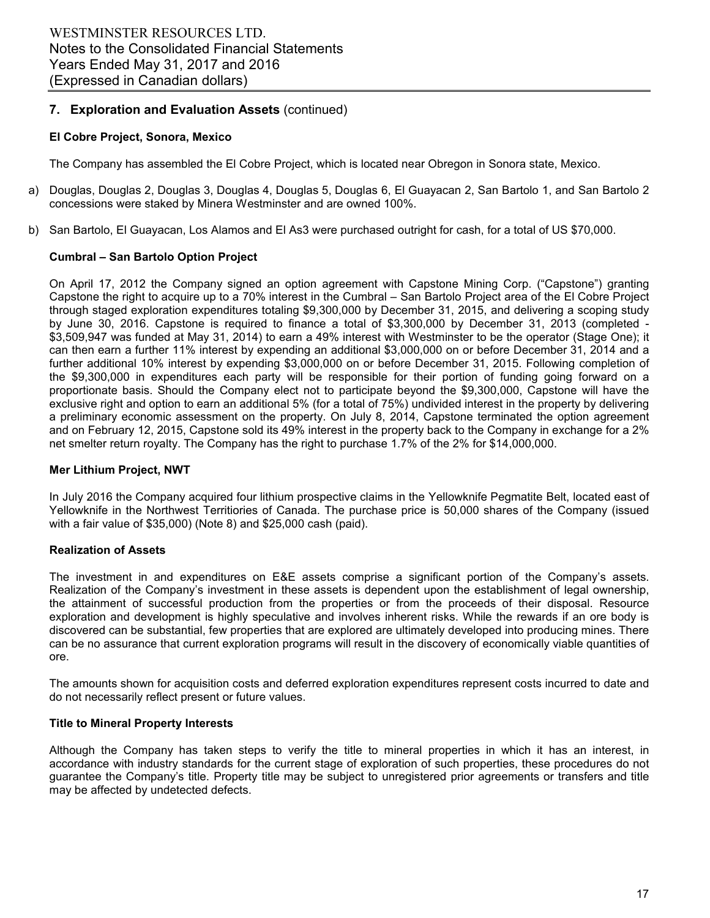# **7. Exploration and Evaluation Assets** (continued)

# **El Cobre Project, Sonora, Mexico**

The Company has assembled the El Cobre Project, which is located near Obregon in Sonora state, Mexico.

- a) Douglas, Douglas 2, Douglas 3, Douglas 4, Douglas 5, Douglas 6, El Guayacan 2, San Bartolo 1, and San Bartolo 2 concessions were staked by Minera Westminster and are owned 100%.
- b) San Bartolo, El Guayacan, Los Alamos and El As3 were purchased outright for cash, for a total of US \$70,000.

# **Cumbral – San Bartolo Option Project**

On April 17, 2012 the Company signed an option agreement with Capstone Mining Corp. ("Capstone") granting Capstone the right to acquire up to a 70% interest in the Cumbral – San Bartolo Project area of the El Cobre Project through staged exploration expenditures totaling \$9,300,000 by December 31, 2015, and delivering a scoping study by June 30, 2016. Capstone is required to finance a total of \$3,300,000 by December 31, 2013 (completed - \$3,509,947 was funded at May 31, 2014) to earn a 49% interest with Westminster to be the operator (Stage One); it can then earn a further 11% interest by expending an additional \$3,000,000 on or before December 31, 2014 and a further additional 10% interest by expending \$3,000,000 on or before December 31, 2015. Following completion of the \$9,300,000 in expenditures each party will be responsible for their portion of funding going forward on a proportionate basis. Should the Company elect not to participate beyond the \$9,300,000, Capstone will have the exclusive right and option to earn an additional 5% (for a total of 75%) undivided interest in the property by delivering a preliminary economic assessment on the property. On July 8, 2014, Capstone terminated the option agreement and on February 12, 2015, Capstone sold its 49% interest in the property back to the Company in exchange for a 2% net smelter return royalty. The Company has the right to purchase 1.7% of the 2% for \$14,000,000.

#### **Mer Lithium Project, NWT**

In July 2016 the Company acquired four lithium prospective claims in the Yellowknife Pegmatite Belt, located east of Yellowknife in the Northwest Territiories of Canada. The purchase price is 50,000 shares of the Company (issued with a fair value of \$35,000) (Note 8) and \$25,000 cash (paid).

# **Realization of Assets**

The investment in and expenditures on E&E assets comprise a significant portion of the Company's assets. Realization of the Company's investment in these assets is dependent upon the establishment of legal ownership, the attainment of successful production from the properties or from the proceeds of their disposal. Resource exploration and development is highly speculative and involves inherent risks. While the rewards if an ore body is discovered can be substantial, few properties that are explored are ultimately developed into producing mines. There can be no assurance that current exploration programs will result in the discovery of economically viable quantities of ore.

The amounts shown for acquisition costs and deferred exploration expenditures represent costs incurred to date and do not necessarily reflect present or future values.

# **Title to Mineral Property Interests**

Although the Company has taken steps to verify the title to mineral properties in which it has an interest, in accordance with industry standards for the current stage of exploration of such properties, these procedures do not guarantee the Company's title. Property title may be subject to unregistered prior agreements or transfers and title may be affected by undetected defects.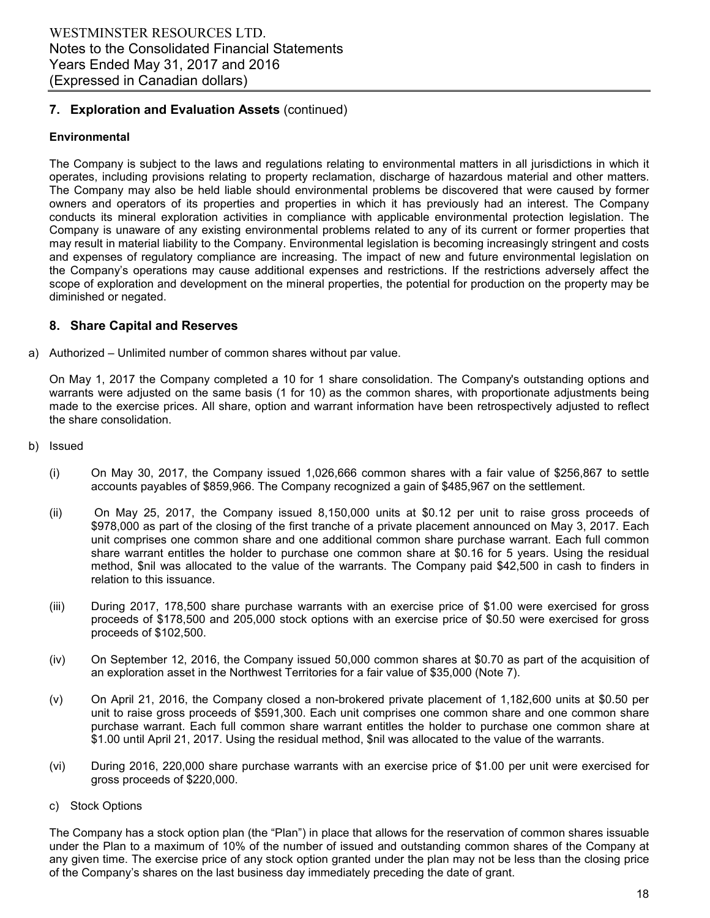# **7. Exploration and Evaluation Assets** (continued)

# **Environmental**

The Company is subject to the laws and regulations relating to environmental matters in all jurisdictions in which it operates, including provisions relating to property reclamation, discharge of hazardous material and other matters. The Company may also be held liable should environmental problems be discovered that were caused by former owners and operators of its properties and properties in which it has previously had an interest. The Company conducts its mineral exploration activities in compliance with applicable environmental protection legislation. The Company is unaware of any existing environmental problems related to any of its current or former properties that may result in material liability to the Company. Environmental legislation is becoming increasingly stringent and costs and expenses of regulatory compliance are increasing. The impact of new and future environmental legislation on the Company's operations may cause additional expenses and restrictions. If the restrictions adversely affect the scope of exploration and development on the mineral properties, the potential for production on the property may be diminished or negated.

# **8. Share Capital and Reserves**

a) Authorized – Unlimited number of common shares without par value.

On May 1, 2017 the Company completed a 10 for 1 share consolidation. The Company's outstanding options and warrants were adjusted on the same basis (1 for 10) as the common shares, with proportionate adjustments being made to the exercise prices. All share, option and warrant information have been retrospectively adjusted to reflect the share consolidation.

- b) Issued
	- (i) On May 30, 2017, the Company issued 1,026,666 common shares with a fair value of \$256,867 to settle accounts payables of \$859,966. The Company recognized a gain of \$485,967 on the settlement.
	- (ii) On May 25, 2017, the Company issued 8,150,000 units at \$0.12 per unit to raise gross proceeds of \$978,000 as part of the closing of the first tranche of a private placement announced on May 3, 2017. Each unit comprises one common share and one additional common share purchase warrant. Each full common share warrant entitles the holder to purchase one common share at \$0.16 for 5 years. Using the residual method, \$nil was allocated to the value of the warrants. The Company paid \$42,500 in cash to finders in relation to this issuance.
	- (iii) During 2017, 178,500 share purchase warrants with an exercise price of \$1.00 were exercised for gross proceeds of \$178,500 and 205,000 stock options with an exercise price of \$0.50 were exercised for gross proceeds of \$102,500.
	- (iv) On September 12, 2016, the Company issued 50,000 common shares at \$0.70 as part of the acquisition of an exploration asset in the Northwest Territories for a fair value of \$35,000 (Note 7).
	- (v) On April 21, 2016, the Company closed a non-brokered private placement of 1,182,600 units at \$0.50 per unit to raise gross proceeds of \$591,300. Each unit comprises one common share and one common share purchase warrant. Each full common share warrant entitles the holder to purchase one common share at \$1.00 until April 21, 2017. Using the residual method, \$nil was allocated to the value of the warrants.
	- (vi) During 2016, 220,000 share purchase warrants with an exercise price of \$1.00 per unit were exercised for gross proceeds of \$220,000.
	- c) Stock Options

The Company has a stock option plan (the "Plan") in place that allows for the reservation of common shares issuable under the Plan to a maximum of 10% of the number of issued and outstanding common shares of the Company at any given time. The exercise price of any stock option granted under the plan may not be less than the closing price of the Company's shares on the last business day immediately preceding the date of grant.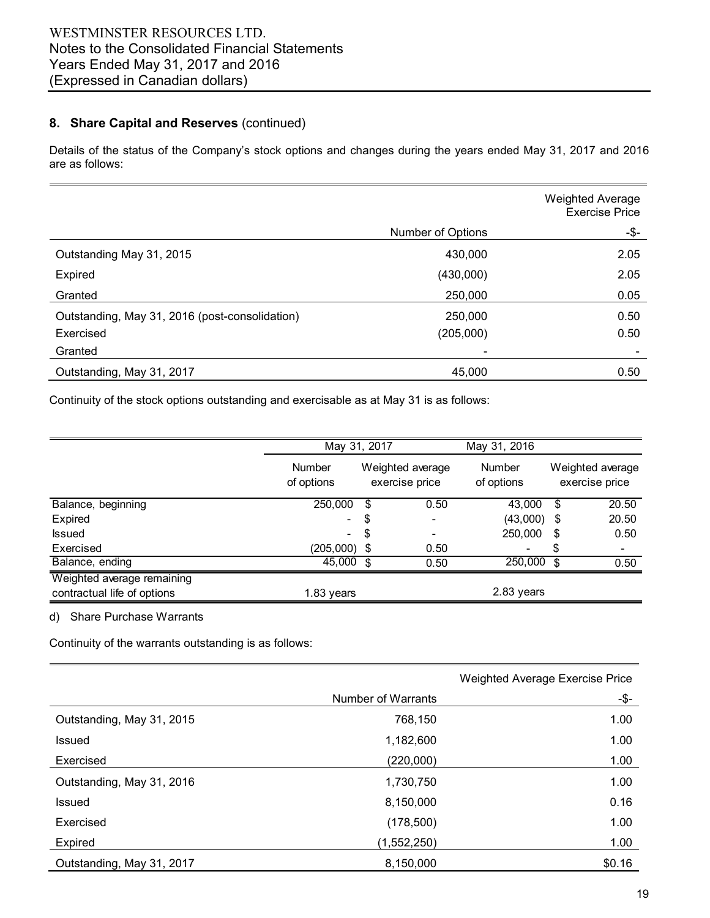# **8. Share Capital and Reserves** (continued)

Details of the status of the Company's stock options and changes during the years ended May 31, 2017 and 2016 are as follows:

|                                                |                          | <b>Weighted Average</b><br><b>Exercise Price</b> |
|------------------------------------------------|--------------------------|--------------------------------------------------|
|                                                | Number of Options        | -\$-                                             |
| Outstanding May 31, 2015                       | 430,000                  | 2.05                                             |
| Expired                                        | (430,000)                | 2.05                                             |
| Granted                                        | 250,000                  | 0.05                                             |
| Outstanding, May 31, 2016 (post-consolidation) | 250,000                  | 0.50                                             |
| Exercised                                      | (205,000)                | 0.50                                             |
| Granted                                        | $\overline{\phantom{0}}$ |                                                  |
| Outstanding, May 31, 2017                      | 45,000                   | 0.50                                             |

Continuity of the stock options outstanding and exercisable as at May 31 is as follows:

|                                                           |                             | May 31, 2017 |                                    |                             |                                    |
|-----------------------------------------------------------|-----------------------------|--------------|------------------------------------|-----------------------------|------------------------------------|
|                                                           | <b>Number</b><br>of options |              | Weighted average<br>exercise price | <b>Number</b><br>of options | Weighted average<br>exercise price |
| Balance, beginning                                        | 250,000                     | \$           | 0.50                               | 43.000                      | \$<br>20.50                        |
| Expired                                                   | $\overline{\phantom{0}}$    | \$           | $\overline{\phantom{a}}$           | $(43,000)$ \$               | 20.50                              |
| <b>Issued</b>                                             | $\overline{\phantom{0}}$    | \$           | -                                  | 250,000                     | \$<br>0.50                         |
| Exercised                                                 | $(205,000)$ \$              |              | 0.50                               | -                           | \$<br>٠                            |
| Balance, ending                                           | 45,000                      | \$           | 0.50                               | 250,000                     | \$<br>0.50                         |
| Weighted average remaining<br>contractual life of options | 1.83 years                  |              |                                    | 2.83 years                  |                                    |

d) Share Purchase Warrants

Continuity of the warrants outstanding is as follows:

|                           |                    | <b>Weighted Average Exercise Price</b> |
|---------------------------|--------------------|----------------------------------------|
|                           | Number of Warrants | -\$-                                   |
| Outstanding, May 31, 2015 | 768,150            | 1.00                                   |
| Issued                    | 1,182,600          | 1.00                                   |
| Exercised                 | (220,000)          | 1.00                                   |
| Outstanding, May 31, 2016 | 1,730,750          | 1.00                                   |
| Issued                    | 8,150,000          | 0.16                                   |
| Exercised                 | (178, 500)         | 1.00                                   |
| Expired                   | (1,552,250)        | 1.00                                   |
| Outstanding, May 31, 2017 | 8,150,000          | \$0.16                                 |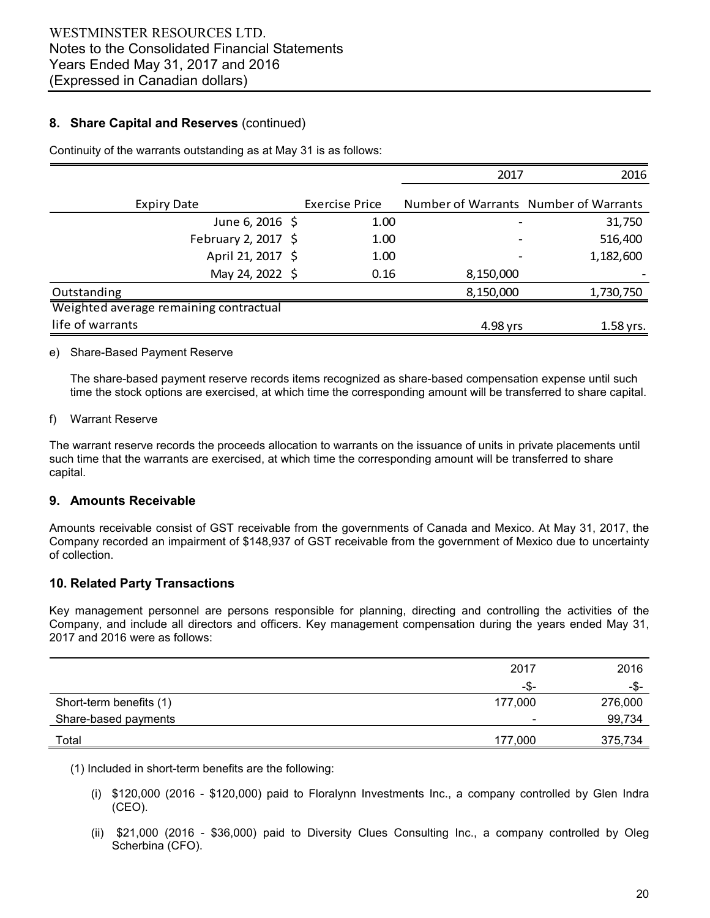# **8. Share Capital and Reserves** (continued)

|                                        |                       | 2017      | 2016                                  |
|----------------------------------------|-----------------------|-----------|---------------------------------------|
|                                        |                       |           |                                       |
| <b>Expiry Date</b>                     | <b>Exercise Price</b> |           | Number of Warrants Number of Warrants |
| June 6, 2016 \$                        | 1.00                  |           | 31,750                                |
| February 2, 2017 \$                    | 1.00                  |           | 516,400                               |
| April 21, 2017 \$                      | 1.00                  |           | 1,182,600                             |
| May 24, 2022 \$                        | 0.16                  | 8,150,000 |                                       |
| Outstanding                            |                       | 8,150,000 | 1,730,750                             |
| Weighted average remaining contractual |                       |           |                                       |
| life of warrants                       |                       | 4.98 yrs  | 1.58 yrs.                             |

Continuity of the warrants outstanding as at May 31 is as follows:

#### e) Share-Based Payment Reserve

The share-based payment reserve records items recognized as share-based compensation expense until such time the stock options are exercised, at which time the corresponding amount will be transferred to share capital.

#### f) Warrant Reserve

The warrant reserve records the proceeds allocation to warrants on the issuance of units in private placements until such time that the warrants are exercised, at which time the corresponding amount will be transferred to share capital.

# **9. Amounts Receivable**

Amounts receivable consist of GST receivable from the governments of Canada and Mexico. At May 31, 2017, the Company recorded an impairment of \$148,937 of GST receivable from the government of Mexico due to uncertainty of collection.

# **10. Related Party Transactions**

Key management personnel are persons responsible for planning, directing and controlling the activities of the Company, and include all directors and officers. Key management compensation during the years ended May 31, 2017 and 2016 were as follows:

|                                   | 2017                     | 2016    |
|-----------------------------------|--------------------------|---------|
|                                   | -\$-                     | -\$-    |
| Short-term benefits (1)           | 177,000                  | 276,000 |
| Share-based payments              | $\overline{\phantom{a}}$ | 99,734  |
| Total<br>$\overline{\phantom{a}}$ | 177,000                  | 375,734 |

(1) Included in short-term benefits are the following:

- (i) \$120,000 (2016 \$120,000) paid to Floralynn Investments Inc., a company controlled by Glen Indra (CEO).
- (ii) \$21,000 (2016 \$36,000) paid to Diversity Clues Consulting Inc., a company controlled by Oleg Scherbina (CFO).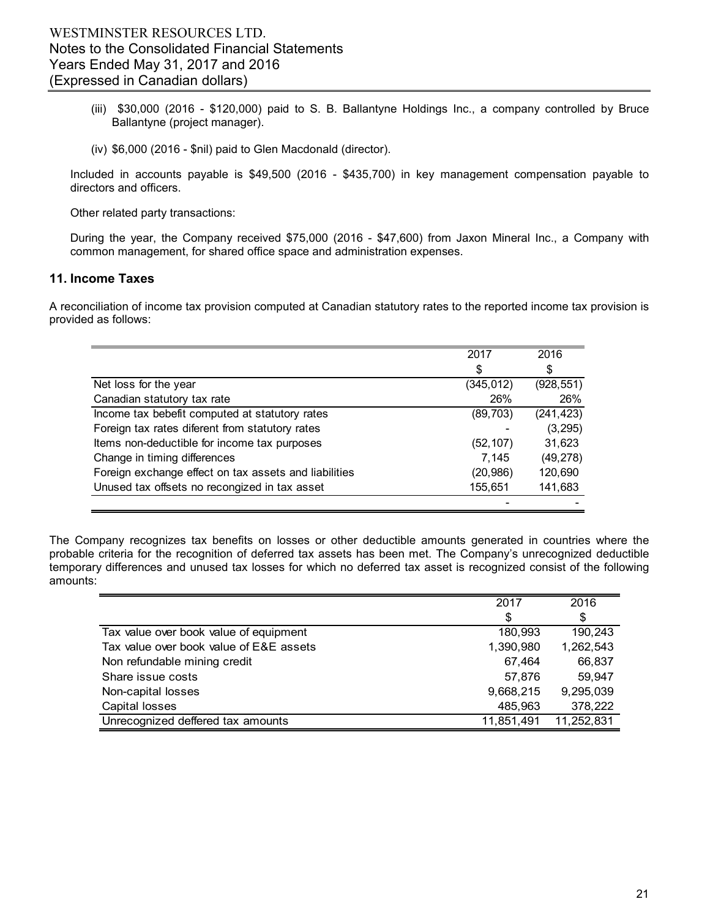- (iii) \$30,000 (2016 \$120,000) paid to S. B. Ballantyne Holdings Inc., a company controlled by Bruce Ballantyne (project manager).
- (iv) \$6,000 (2016 \$nil) paid to Glen Macdonald (director).

Included in accounts payable is \$49,500 (2016 - \$435,700) in key management compensation payable to directors and officers.

Other related party transactions:

During the year, the Company received \$75,000 (2016 - \$47,600) from Jaxon Mineral Inc., a Company with common management, for shared office space and administration expenses.

# **11. Income Taxes**

A reconciliation of income tax provision computed at Canadian statutory rates to the reported income tax provision is provided as follows:

|                                                       | 2017       | 2016       |
|-------------------------------------------------------|------------|------------|
|                                                       | \$         | \$         |
| Net loss for the year                                 | (345, 012) | (928, 551) |
| Canadian statutory tax rate                           | 26%        | 26%        |
| Income tax bebefit computed at statutory rates        | (89, 703)  | (241, 423) |
| Foreign tax rates diferent from statutory rates       |            | (3, 295)   |
| Items non-deductible for income tax purposes          | (52, 107)  | 31,623     |
| Change in timing differences                          | 7.145      | (49, 278)  |
| Foreign exchange effect on tax assets and liabilities | (20, 986)  | 120,690    |
| Unused tax offsets no recongized in tax asset         | 155,651    | 141,683    |
|                                                       |            |            |

The Company recognizes tax benefits on losses or other deductible amounts generated in countries where the probable criteria for the recognition of deferred tax assets has been met. The Company's unrecognized deductible temporary differences and unused tax losses for which no deferred tax asset is recognized consist of the following amounts:

|                                         | 2017       | 2016       |
|-----------------------------------------|------------|------------|
|                                         | \$         | \$         |
| Tax value over book value of equipment  | 180,993    | 190,243    |
| Tax value over book value of E&E assets | 1,390,980  | 1,262,543  |
| Non refundable mining credit            | 67,464     | 66,837     |
| Share issue costs                       | 57,876     | 59.947     |
| Non-capital losses                      | 9,668,215  | 9,295,039  |
| Capital losses                          | 485,963    | 378,222    |
| Unrecognized deffered tax amounts       | 11,851,491 | 11,252,831 |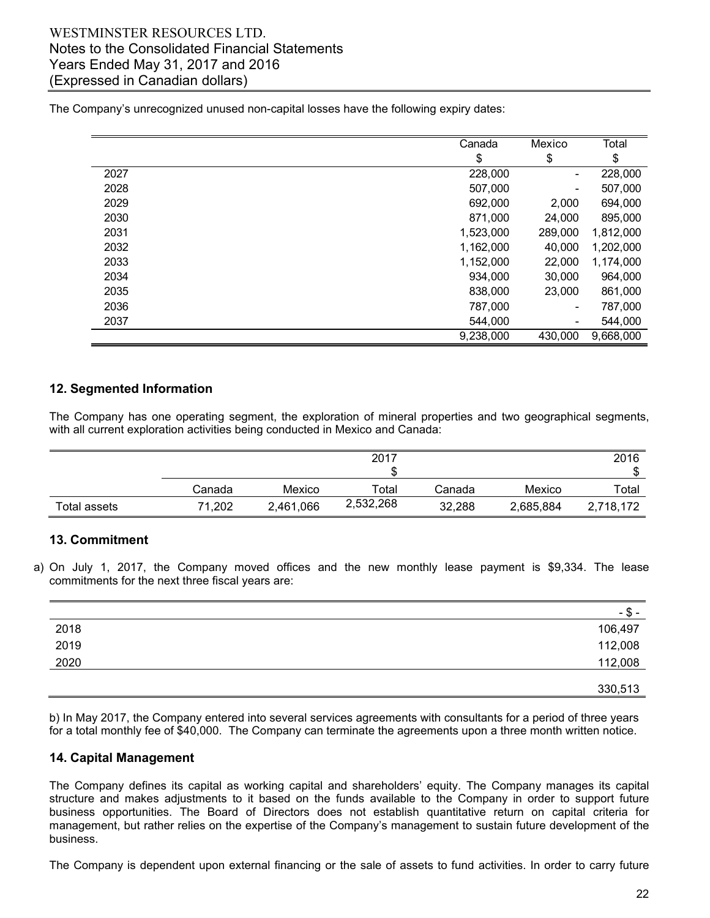# WESTMINSTER RESOURCES LTD. Notes to the Consolidated Financial Statements Years Ended May 31, 2017 and 2016 (Expressed in Canadian dollars)

The Company's unrecognized unused non-capital losses have the following expiry dates:

|      | Canada    | Mexico  | Total     |
|------|-----------|---------|-----------|
|      | \$        | \$      | \$        |
| 2027 | 228,000   | -       | 228,000   |
| 2028 | 507,000   | -       | 507,000   |
| 2029 | 692,000   | 2,000   | 694,000   |
| 2030 | 871,000   | 24,000  | 895,000   |
| 2031 | 1,523,000 | 289,000 | 1,812,000 |
| 2032 | 1,162,000 | 40,000  | 1,202,000 |
| 2033 | 1,152,000 | 22,000  | 1,174,000 |
| 2034 | 934,000   | 30,000  | 964,000   |
| 2035 | 838,000   | 23,000  | 861,000   |
| 2036 | 787,000   | -       | 787,000   |
| 2037 | 544.000   | -       | 544,000   |
|      | 9,238,000 | 430,000 | 9,668,000 |

# **12. Segmented Information**

The Company has one operating segment, the exploration of mineral properties and two geographical segments, with all current exploration activities being conducted in Mexico and Canada:

|              | 2017   |           |           |        | 2016<br>\$ |           |
|--------------|--------|-----------|-----------|--------|------------|-----------|
|              | Canada | Mexico    | ⊤otal     | Canada | Mexico     | Total     |
| Total assets | 71,202 | 2,461,066 | 2,532,268 | 32,288 | 2,685,884  | 2,718,172 |

# **13. Commitment**

a) On July 1, 2017, the Company moved offices and the new monthly lease payment is \$9,334. The lease commitments for the next three fiscal years are:

|      | -ა-     |
|------|---------|
| 2018 | 106,497 |
| 2019 | 112,008 |
| 2020 | 112,008 |
|      |         |
|      | 330,513 |

b) In May 2017, the Company entered into several services agreements with consultants for a period of three years for a total monthly fee of \$40,000. The Company can terminate the agreements upon a three month written notice.

# **14. Capital Management**

The Company defines its capital as working capital and shareholders' equity. The Company manages its capital structure and makes adjustments to it based on the funds available to the Company in order to support future business opportunities. The Board of Directors does not establish quantitative return on capital criteria for management, but rather relies on the expertise of the Company's management to sustain future development of the business.

The Company is dependent upon external financing or the sale of assets to fund activities. In order to carry future